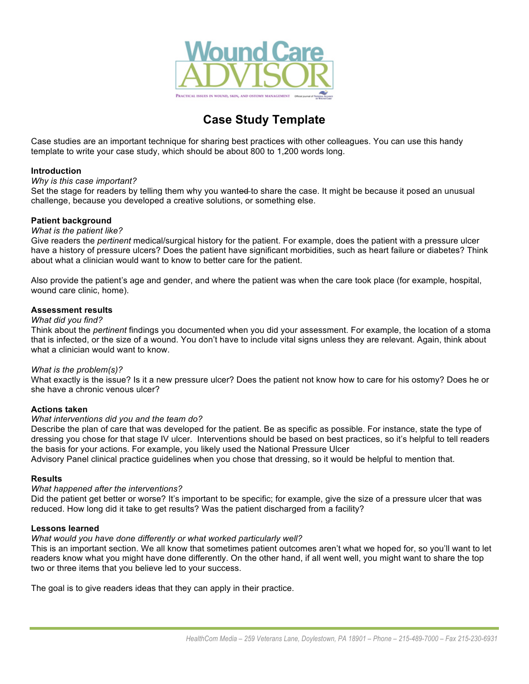

# **Case Study Template**

Case studies are an important technique for sharing best practices with other colleagues. You can use this handy template to write your case study, which should be about 800 to 1,200 words long.

## **Introduction**

#### *Why is this case important?*

Set the stage for readers by telling them why you wanted to share the case. It might be because it posed an unusual challenge, because you developed a creative solutions, or something else.

# **Patient background**

## *What is the patient like?*

Give readers the *pertinent* medical/surgical history for the patient. For example, does the patient with a pressure ulcer have a history of pressure ulcers? Does the patient have significant morbidities, such as heart failure or diabetes? Think about what a clinician would want to know to better care for the patient.

Also provide the patient's age and gender, and where the patient was when the care took place (for example, hospital, wound care clinic, home).

## **Assessment results**

## *What did you find?*

Think about the *pertinent* findings you documented when you did your assessment. For example, the location of a stoma that is infected, or the size of a wound. You don't have to include vital signs unless they are relevant. Again, think about what a clinician would want to know.

# *What is the problem(s)?*

What exactly is the issue? Is it a new pressure ulcer? Does the patient not know how to care for his ostomy? Does he or she have a chronic venous ulcer?

# **Actions taken**

#### *What interventions did you and the team do?*

Describe the plan of care that was developed for the patient. Be as specific as possible. For instance, state the type of dressing you chose for that stage IV ulcer. Interventions should be based on best practices, so it's helpful to tell readers the basis for your actions. For example, you likely used the National Pressure Ulcer

Advisory Panel clinical practice guidelines when you chose that dressing, so it would be helpful to mention that.

#### **Results**

# *What happened after the interventions?*

Did the patient get better or worse? It's important to be specific; for example, give the size of a pressure ulcer that was reduced. How long did it take to get results? Was the patient discharged from a facility?

#### **Lessons learned**

#### *What would you have done differently or what worked particularly well?*

This is an important section. We all know that sometimes patient outcomes aren't what we hoped for, so you'll want to let readers know what you might have done differently. On the other hand, if all went well, you might want to share the top two or three items that you believe led to your success.

The goal is to give readers ideas that they can apply in their practice.